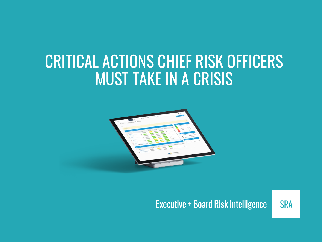# CRITICAL ACTIONS CHIEF RISK OFFICERS MUST TAKE IN A CRISIS



### Executive + Board Risk Intelligence

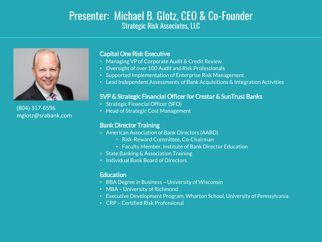### Presenter: Michael B. Glotz, CEO & Co-Founder Strategic Risk Associates, LLC



(804) 317-6596 mglotz@srabank.com

#### *Capital One Risk Executive*

- *Managing VP of Corporate Audit & Credit Review*
- *Oversight of over 100 Audit and Risk Professionals*
- *Supported Implementation of Enterprise Risk Management*
- *Lead Independent Assessments of Bank Acquisitions & Integration Activities*

#### *SVP & Strategic Financial Officer forCrestar & SunTrustBanks*

- *Strategic Financial Officer (SFO)*
- *Head of Strategic Cost Management*

#### *Bank Director Training*

- *American Association of Bank Directors (AABD)*
	- *Risk-Reward Committee, Co-Chairman*
	- *Faculty Member, Institute of Bank Director Education*
- *State Banking & Association Training*
- *Individual Bank Board of Directors*

#### *Education*

- *BBA Degree in Business – University of Wisconsin*
- *MBA – University of Richmond*
- *Executive Development Program, Wharton School, University of Pennsylvania*
- *CRP – Certified Risk Professional*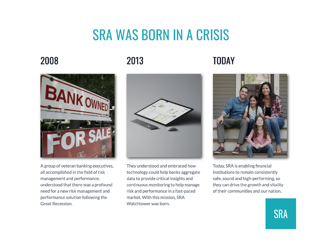# **SRA WAS BORN IN A CRISIS**

2008

### 2013

## **TODAY**



A group of veteran banking executives, all accomplished in the field of risk management and performance, understood that there was a profound need for a new risk management and performance solution following the **Great Recession.** 



They understood and embraced how technology could help banks aggregate data to provide critical insights and continuous monitoring to help manage risk and performance in a fast-paced market. With this mission, SRA Watchtower was born.



Today, SRA is enabling financial institutions to remain consistently safe, sound and high-performing, so they can drive the growth and vitality of their communities and our nation.

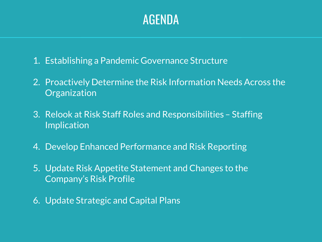# AGENDA

- *1. Establishing a Pandemic Governance Structure*
- *2. Proactively Determine the Risk Information Needs Across the Organization*
- *3. Relook at Risk Staff Roles and Responsibilities – Staffing Implication*
- *4. Develop Enhanced Performance and Risk Reporting*
- *5. Update Risk Appetite Statement and Changes to the Company's Risk Profile*
- *6. Update Strategic and Capital Plans*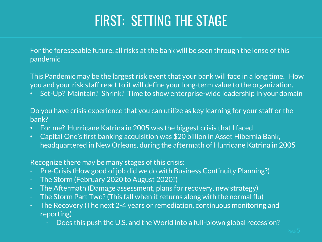# FIRST: SETTING THE STAGE

*For the foreseeable future, all risks at the bank will be seen through the lense of this pandemic*

*This Pandemic may be the largest risk event that your bank will face in a long time. How you and your risk staff react to it will define your long-term value to the organization.*

• *Set-Up? Maintain? Shrink? Time to show enterprise-wide leadership in your domain*

*Do you have crisis experience that you can utilize as key learning for your staff or the bank?*

- *For me? Hurricane Katrina in 2005 was the biggest crisis that I faced*
- *Capital One's first banking acquisition was \$20 billion in Asset Hibernia Bank, headquartered in New Orleans, during the aftermath of Hurricane Katrina in 2005*

#### *Recognize there may be many stages of this crisis:*

- *- Pre-Crisis (How good of job did we do with Business Continuity Planning?)*
- *- The Storm (February 2020 to August 2020?)*
- *- The Aftermath (Damage assessment, plans for recovery, new strategy)*
- *- The Storm Part Two? (This fall when it returns along with the normal flu)*
- *- The Recovery (The next 2-4 years or remediation, continuous monitoring and reporting)*
	- *- Does this push the U.S. and the World into a full-blown global recession?*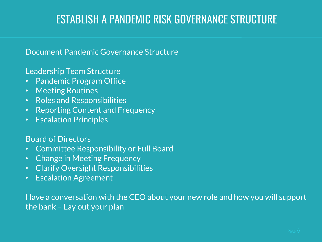## ESTABLISH A PANDEMIC RISK GOVERNANCE STRUCTURE

### *Document Pandemic Governance Structure*

### *Leadership Team Structure*

- *Pandemic Program Office*
- *Meeting Routines*
- *Roles and Responsibilities*
- *Reporting Content and Frequency*
- *Escalation Principles*

### *Board of Directors*

- *Committee Responsibility or Full Board*
- *Change in Meeting Frequency*
- *Clarify Oversight Responsibilities*
- *Escalation Agreement*

*Have a conversation with the CEO about your new role and how you will support the bank – Lay out your plan*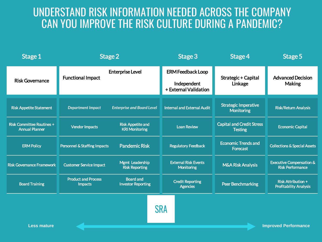## UNDERSTAND RISK INFORMATION NEEDED ACROSS THE COMPANY CAN YOU IMPROVE THE RISK CULTURE DURING A PANDEMIC?

| Stage 1                                                   |                                              | Stage 2                                           | Stage 3                                                          | Stage 4                                            | Stage 5                                                        |
|-----------------------------------------------------------|----------------------------------------------|---------------------------------------------------|------------------------------------------------------------------|----------------------------------------------------|----------------------------------------------------------------|
| <b>Risk Governance</b>                                    | <b>Functional Impact</b>                     | <b>Enterprise Level</b>                           | <b>ERM Feedback Loop</b><br>Independent<br>+ External Validation | Strategic + Capital<br>Linkage                     | <b>Advanced Decision</b><br><b>Making</b>                      |
| <b>Risk Appetite Statement</b>                            | <b>Department Impact</b>                     | <b>Enterprise and Board Level</b>                 | <b>Internal and External Audit</b>                               | <b>Strategic Imperative</b><br><b>Monitoring</b>   | <b>Risk/Return Analysis</b>                                    |
| <b>Risk Committee Routines +</b><br><b>Annual Planner</b> | <b>Vendor Impacts</b>                        | <b>Risk Appetite and</b><br><b>KRI Monitoring</b> | <b>Loan Review</b>                                               | <b>Capital and Credit Stress</b><br><b>Testing</b> | <b>Economic Capital</b>                                        |
| <b>ERM Policy</b>                                         | <b>Personnel &amp; Staffing Impacts</b>      | <b>Pandemic Risk</b>                              | <b>Regulatory Feedback</b>                                       | <b>Economic Trends and</b><br>Forecast             | <b>Collections &amp; Special Assets</b>                        |
| <b>Risk Governance Framework</b>                          | <b>Customer Service Impact</b>               | Mgmt Leadership<br><b>Risk Reporting</b>          | <b>External Risk Events</b><br><b>Monitoring</b>                 | <b>M&amp;A Risk Analysis</b>                       | <b>Executive Compensation &amp;</b><br><b>Risk Performance</b> |
| <b>Board Training</b>                                     | <b>Product and Process</b><br><b>Impacts</b> | <b>Board and</b><br><b>Investor Reporting</b>     | <b>Credit Reporting</b><br><b>Agencies</b>                       | <b>Peer Benchmarking</b>                           | <b>Risk Attribution +</b><br><b>Profitability Analysis</b>     |
| <b>Less mature</b>                                        |                                              |                                                   | <b>SRA</b>                                                       |                                                    | <b>Improved Performance</b>                                    |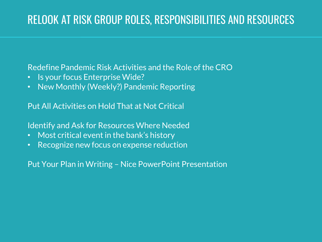## RELOOK AT RISK GROUP ROLES, RESPONSIBILITIES AND RESOURCES

*Redefine Pandemic Risk Activities and the Role of the CRO*

- *Is your focus Enterprise Wide?*
- *New Monthly (Weekly?) Pandemic Reporting*

*Put All Activities on Hold That at Not Critical*

*Identify and Ask for Resources Where Needed*

- *Most critical event in the bank's history*
- *Recognize new focus on expense reduction*

*Put Your Plan in Writing – Nice PowerPoint Presentation*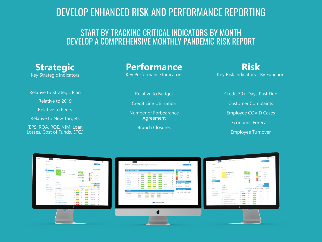### DEVELOP ENHANCED RISK AND PERFORMANCE REPORTING

### START BY TRACKING CRITICAL INDICATORS BY MONTH DEVELOP A COMPREHENSIVE MONTHLY PANDEMIC RISK REPORT

**Strategic** Key Strategic Indicators

Relative to Strategic Plan

Relative to 2019

Relative to Peers

Relative to New Targets

(EPS, ROA, ROE, NIM, Loan Losses, Cost of Funds, ETC.) **Performance** Key Performance Indicators

Relative to Budget

Credit Line Utilization

Number of Forbearance Agreement

Branch Closures

**Risk** Key Risk Indicators - By Function

> Credit 30+ Days Past Due Customer Complaints Employee COVID Cases Economic Forecast Employee Turnover

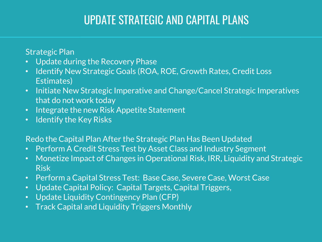# UPDATE STRATEGIC AND CAPITAL PLANS

*Strategic Plan*

- *Update during the Recovery Phase*
- *Identify New Strategic Goals (ROA, ROE, Growth Rates, Credit Loss Estimates)*
- *Initiate New Strategic Imperative and Change/Cancel Strategic Imperatives that do not work today*
- *Integrate the new Risk Appetite Statement*
- *Identify the Key Risks*

### *Redo the Capital Plan After the Strategic Plan Has Been Updated*

- *Perform A Credit Stress Test by Asset Class and Industry Segment*
- *Monetize Impact of Changes in Operational Risk, IRR, Liquidity and Strategic Risk*
- *Perform a Capital Stress Test: Base Case, Severe Case, Worst Case*
- *Update Capital Policy: Capital Targets, Capital Triggers,*
- *Update Liquidity Contingency Plan (CFP)*
- *Track Capital and Liquidity Triggers Monthly*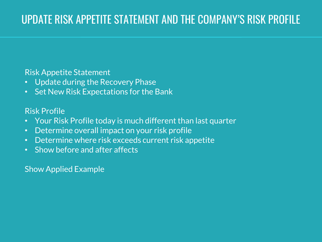# UPDATE RISK APPETITE STATEMENT AND THE COMPANY'S RISK PROFILE

### *Risk Appetite Statement*

- *Update during the Recovery Phase*
- *Set New Risk Expectations for the Bank*

### *Risk Profile*

- *Your Risk Profile today is much different than last quarter*
- *Determine overall impact on your risk profile*
- *Determine where risk exceeds current risk appetite*
- *Show before and after affects*

### *Show Applied Example*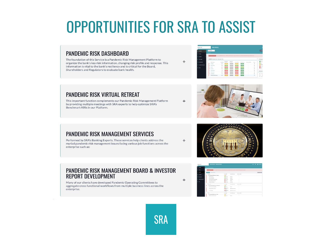# **OPPORTUNITIES FOR SRA TO ASSIST**

#### **PANDEMIC RISK DASHBOARD**

The foundation of this Service is a Pandemic Risk Management Platform to organize the bank's key risk information, changing risk profile and response. This information is vital to the bank's resiliency and is critical for the Board, Shareholders and Regulators to evaluate bank health.



#### **PANDEMIC RISK VIRTUAL RETREAT**

This important function complements our Pandemic Risk Management Platform by providing multiple meetings with SRA experts to help optimize SRA's Benchmark KRIs in our Platform.



#### **PANDEMIC RISK MANAGEMENT SERVICES**

Performed by SRA's Banking Experts. These services help clients address the myriad pandemic risk management issues facing various job functions across the enterprise such as:

#### PANDEMIC RISK MANAGEMENT BOARD & INVESTOR **REPORT DEVELOPMENT**

Many of our clients have developed Pandemic Operating Committees to aggregate cross functional workflows from multiple business lines across the  $^{+}$ 

 $+$ 

 $+$ 

 $+$ 



| <b>EXHIBITION</b> | <b>INSK PROFILE TREND REPORT</b><br>×                                                                                                                                                                                                                                                                                                                                                                                                                                                                              | <b>101 &amp; @ connect</b>      |                                            |                            |                |
|-------------------|--------------------------------------------------------------------------------------------------------------------------------------------------------------------------------------------------------------------------------------------------------------------------------------------------------------------------------------------------------------------------------------------------------------------------------------------------------------------------------------------------------------------|---------------------------------|--------------------------------------------|----------------------------|----------------|
|                   | <b>Seattle Product Seattle</b>                                                                                                                                                                                                                                                                                                                                                                                                                                                                                     |                                 |                                            |                            |                |
|                   | and the property of the complete income a statement of the complete statement of the statement and the complete                                                                                                                                                                                                                                                                                                                                                                                                    |                                 |                                            |                            |                |
|                   | THE Atlantas                                                                                                                                                                                                                                                                                                                                                                                                                                                                                                       |                                 |                                            |                            | <b>MONTAGE</b> |
| ar tem.           | <b>Branch</b>                                                                                                                                                                                                                                                                                                                                                                                                                                                                                                      | <b>Parchite</b>                 | <b>Expert Rendered</b>                     | <b>Standard River</b>      |                |
|                   | at in Autum for furnish finished                                                                                                                                                                                                                                                                                                                                                                                                                                                                                   | $\sim$                          |                                            | ÷                          |                |
| <b>SECRETS</b>    | <b>STATISTICS</b>                                                                                                                                                                                                                                                                                                                                                                                                                                                                                                  | Britannic                       | <b>SAMPLE</b><br>$\sim$                    | v                          |                |
|                   | <b>Business and Control</b>                                                                                                                                                                                                                                                                                                                                                                                                                                                                                        | <b>Britannic</b>                | <b>Expertise</b><br>œ                      | $\sim$                     |                |
| SIMPLETINE DATA   | Tour stop Support that States                                                                                                                                                                                                                                                                                                                                                                                                                                                                                      | <b>B</b> ooming                 | <b>Service</b>                             | $\sim$                     |                |
|                   | <b>Except System of Local</b>                                                                                                                                                                                                                                                                                                                                                                                                                                                                                      | $\blacksquare$                  | <b>COLOR</b>                               | v.                         |                |
|                   | <b>System of All States</b>                                                                                                                                                                                                                                                                                                                                                                                                                                                                                        | <b>Browning</b>                 | <b>Service</b>                             | ÷                          |                |
|                   |                                                                                                                                                                                                                                                                                                                                                                                                                                                                                                                    |                                 |                                            |                            |                |
|                   | $\frac{1}{2} \left( \frac{1}{2} \right) \left( \frac{1}{2} \right) \left( \frac{1}{2} \right) \left( \frac{1}{2} \right) \left( \frac{1}{2} \right) \left( \frac{1}{2} \right) \left( \frac{1}{2} \right) \left( \frac{1}{2} \right) \left( \frac{1}{2} \right) \left( \frac{1}{2} \right) \left( \frac{1}{2} \right) \left( \frac{1}{2} \right) \left( \frac{1}{2} \right) \left( \frac{1}{2} \right) \left( \frac{1}{2} \right) \left( \frac{1}{2} \right) \left( \frac$<br>at its dealers the funeral dependent | <b>No done</b>                  | <b><i><u>Report Follows</u></i></b>        | <b>Standard Ka</b><br>a Co |                |
|                   |                                                                                                                                                                                                                                                                                                                                                                                                                                                                                                                    |                                 |                                            |                            |                |
|                   | because because a continu-                                                                                                                                                                                                                                                                                                                                                                                                                                                                                         | $\sim$                          | <b>Service</b>                             | ÷                          |                |
|                   | <b>David as A Brital Locations</b>                                                                                                                                                                                                                                                                                                                                                                                                                                                                                 | <b>Biterman</b><br><b>Grand</b> | <b><i>Carolina Marine</i></b>              | $\sim$                     |                |
|                   | <b>Sentantial</b>                                                                                                                                                                                                                                                                                                                                                                                                                                                                                                  | Brigadores<br><b>Secretary</b>  | <b>Spottsmith</b>                          | ×<br>$\mathbb{R}^n$        |                |
|                   | <b>START</b>                                                                                                                                                                                                                                                                                                                                                                                                                                                                                                       | <b>Part Street</b>              | <b><i><u>Automatical Americans</u></i></b> | <b>Dondon of Right</b>     |                |
|                   | co.fr. Business Statements Scores                                                                                                                                                                                                                                                                                                                                                                                                                                                                                  | <b>BLACK</b>                    |                                            |                            |                |
|                   | <b>But information Constraint</b>                                                                                                                                                                                                                                                                                                                                                                                                                                                                                  | <b>Britain</b>                  | <b>Blazer</b>                              |                            |                |



enterprise.